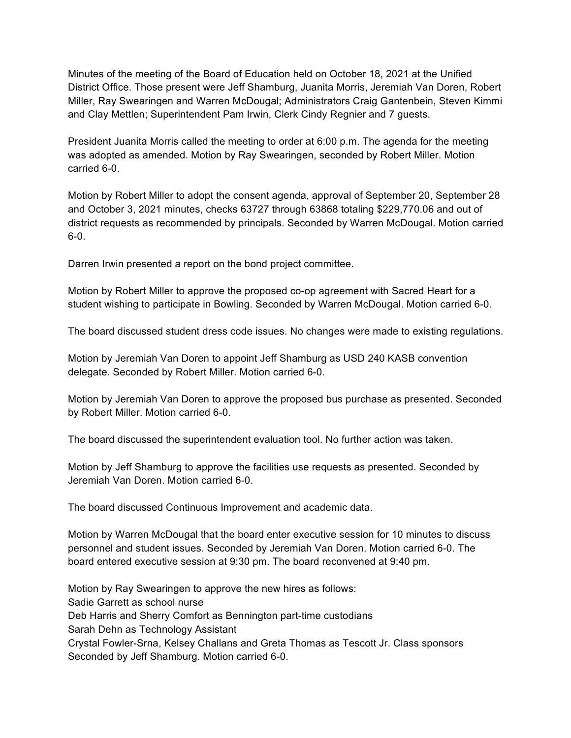Minutes of the meeting of the Board of Education held on October 18, 2021 at the Unified District Office. Those present were Jeff Shamburg, Juanita Morris, Jeremiah Van Doren, Robert Miller, Ray Swearingen and Warren McDougal; Administrators Craig Gantenbein, Steven Kimmi and Clay Mettlen; Superintendent Pam Irwin, Clerk Cindy Regnier and 7 guests.

President Juanita Morris called the meeting to order at 6:00 p.m. The agenda for the meeting was adopted as amended. Motion by Ray Swearingen, seconded by Robert Miller. Motion carried 6-0.

Motion by Robert Miller to adopt the consent agenda, approval of September 20, September 28 and October 3, 2021 minutes, checks 63727 through 63868 totaling \$229,770.06 and out of district requests as recommended by principals. Seconded by Warren McDougal. Motion carried 6-0.

Darren Irwin presented a report on the bond project committee.

Motion by Robert Miller to approve the proposed co-op agreement with Sacred Heart for a student wishing to participate in Bowling. Seconded by Warren McDougal. Motion carried 6-0.

The board discussed student dress code issues. No changes were made to existing regulations.

Motion by Jeremiah Van Doren to appoint Jeff Shamburg as USD 240 KASB convention delegate. Seconded by Robert Miller. Motion carried 6-0.

Motion by Jeremiah Van Doren to approve the proposed bus purchase as presented. Seconded by Robert Miller. Motion carried 6-0.

The board discussed the superintendent evaluation tool. No further action was taken.

Motion by Jeff Shamburg to approve the facilities use requests as presented. Seconded by Jeremiah Van Doren. Motion carried 6-0.

The board discussed Continuous Improvement and academic data.

Motion by Warren McDougal that the board enter executive session for 10 minutes to discuss personnel and student issues. Seconded by Jeremiah Van Doren. Motion carried 6-0. The board entered executive session at 9:30 pm. The board reconvened at 9:40 pm.

Motion by Ray Swearingen to approve the new hires as follows: Sadie Garrett as school nurse Deb Harris and Sherry Comfort as Bennington part-time custodians Sarah Dehn as Technology Assistant Crystal Fowler-Srna, Kelsey Challans and Greta Thomas as Tescott Jr. Class sponsors Seconded by Jeff Shamburg. Motion carried 6-0.